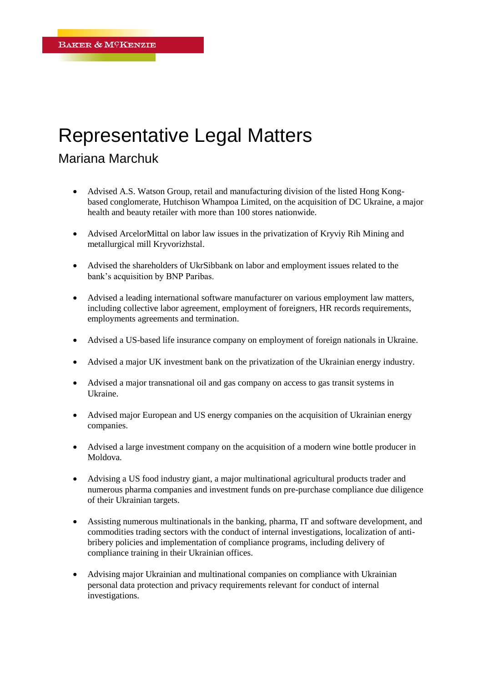## Representative Legal Matters

## Mariana Marchuk

- Advised A.S. Watson Group, retail and manufacturing division of the listed Hong Kongbased conglomerate, Hutchison Whampoa Limited, on the acquisition of DC Ukraine, a major health and beauty retailer with more than 100 stores nationwide.
- Advised ArcelorMittal on labor law issues in the privatization of Kryviy Rih Mining and metallurgical mill Kryvorizhstal.
- Advised the shareholders of UkrSibbank on labor and employment issues related to the bank's acquisition by BNP Paribas.
- Advised a leading international software manufacturer on various employment law matters, including collective labor agreement, employment of foreigners, HR records requirements, employments agreements and termination.
- Advised a US-based life insurance company on employment of foreign nationals in Ukraine.
- Advised a major UK investment bank on the privatization of the Ukrainian energy industry.
- Advised a major transnational oil and gas company on access to gas transit systems in Ukraine.
- Advised major European and US energy companies on the acquisition of Ukrainian energy companies.
- Advised a large investment company on the acquisition of a modern wine bottle producer in Moldova.
- Advising a US food industry giant, a major multinational agricultural products trader and numerous pharma companies and investment funds on pre-purchase compliance due diligence of their Ukrainian targets.
- Assisting numerous multinationals in the banking, pharma, IT and software development, and commodities trading sectors with the conduct of internal investigations, localization of antibribery policies and implementation of compliance programs, including delivery of compliance training in their Ukrainian offices.
- Advising major Ukrainian and multinational companies on compliance with Ukrainian personal data protection and privacy requirements relevant for conduct of internal investigations.